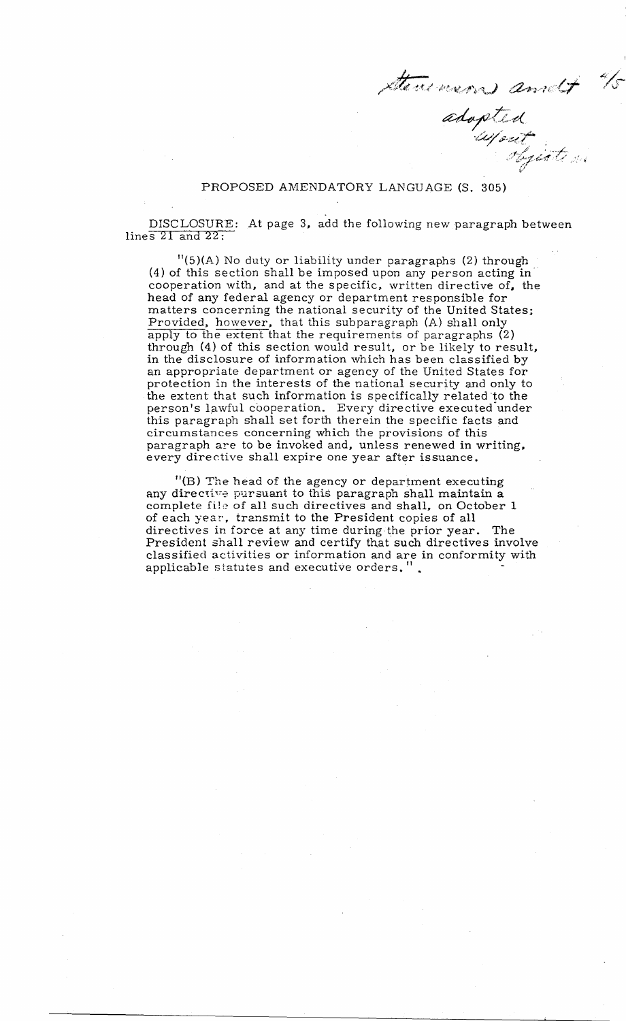stenemens and to

## PROPOSED AMENDATORY LANGUAGE (S. 305)

DISCLOSURE: At page 3, add the following new paragraph between lines 21 and 22:

11(5)(A) No duty or liability under paragraphs (2) through (4) of this section shall be imposed upon any person acting in" cooperation with, and at the specific, written directive of, the head of any federal agency or department responsible for matters concerning the national security of the United States; Provided, however, that this subparagraph (A) shall only apply to the extent that the requirements of paragraphs (2) through (4) of this section would result, or be likely to result, in the disclosure of information which has been classified by an appropriate department or agency of the United States for protection in the interests of the national security and only to the extent that such information is specifically related "to the person's lawful cooperation. Every directive executed under this paragraph shal1 set forth therein the specific facts and circumstances concerning which the provisions of this paragraph are to be invoked and, unless renewed in writing, every directive shal1 expire one year after issuance.

"(B) The head of the agency or department executing any directive pursuant to this paragraph shall maintain a complete file of all such directives and shall, on October 1 of each year, transmit to the President copies of all directives in force at any time during the prior year. The President shall review and certify that such directives involve classified activities or information and are in conformity with applicable statutes and executive orders.